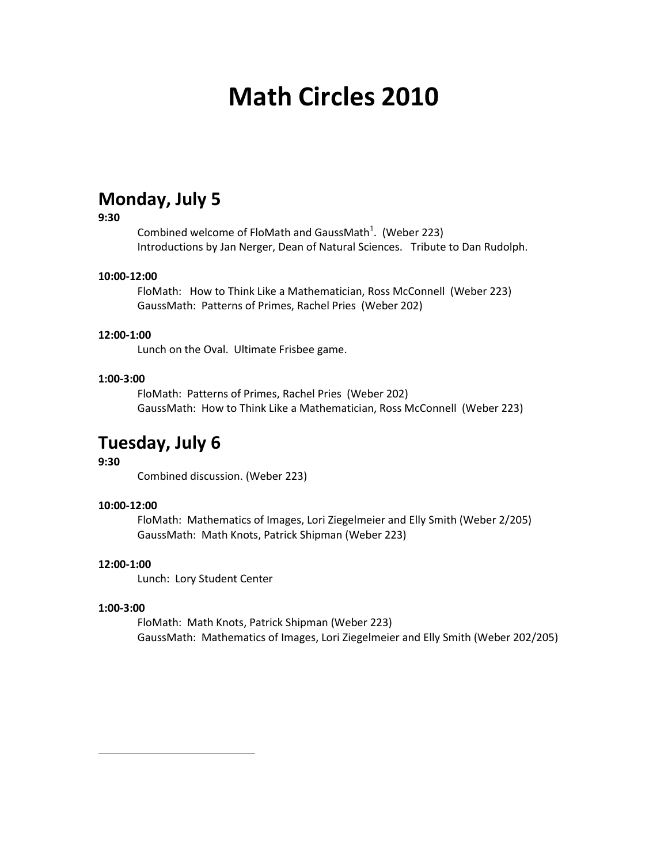# **Math Circles 2010**

## **Monday, July 5**

#### **9:30**

Combined welcome of FloMath and GaussMath<sup>1</sup>. (Weber 223) Introductions by Jan Nerger, Dean of Natural Sciences. Tribute to Dan Rudolph.

#### **10:00-12:00**

FloMath: How to Think Like a Mathematician, Ross McConnell (Weber 223) GaussMath: Patterns of Primes, Rachel Pries (Weber 202)

#### **12:00-1:00**

Lunch on the Oval. Ultimate Frisbee game.

#### **1:00-3:00**

FloMath: Patterns of Primes, Rachel Pries (Weber 202) GaussMath: How to Think Like a Mathematician, Ross McConnell (Weber 223)

### **Tuesday, July 6**

#### **9:30**

Combined discussion. (Weber 223)

#### **10:00-12:00**

FloMath: Mathematics of Images, Lori Ziegelmeier and Elly Smith (Weber 2/205) GaussMath: Math Knots, Patrick Shipman (Weber 223)

#### **12:00-1:00**

Lunch: Lory Student Center

#### **1:00-3:00**

 $\overline{\phantom{a}}$ 

FloMath: Math Knots, Patrick Shipman (Weber 223) GaussMath: Mathematics of Images, Lori Ziegelmeier and Elly Smith (Weber 202/205)